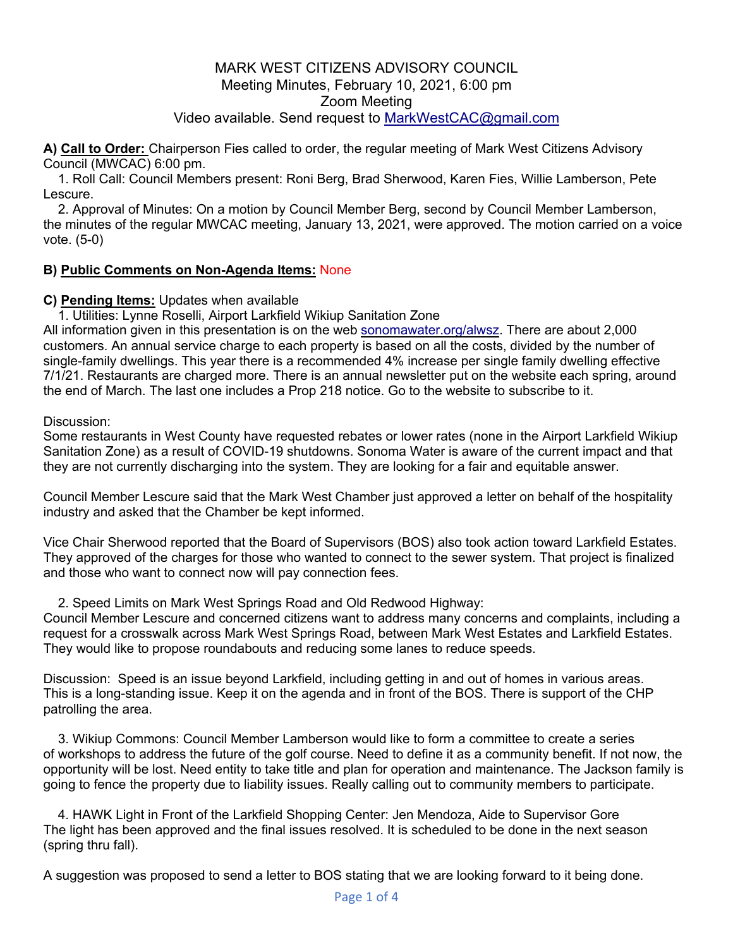**A) Call to Order:** Chairperson Fies called to order, the regular meeting of Mark West Citizens Advisory Council (MWCAC) 6:00 pm.

1. Roll Call: Council Members present: Roni Berg, Brad Sherwood, Karen Fies, Willie Lamberson, Pete Lescure.

2. Approval of Minutes: On a motion by Council Member Berg, second by Council Member Lamberson, the minutes of the regular MWCAC meeting, January 13, 2021, were approved. The motion carried on a voice vote. (5-0)

### **B) Public Comments on Non-Agenda Items:** None

#### **C) Pending Items:** Updates when available

1. Utilities: Lynne Roselli, Airport Larkfield Wikiup Sanitation Zone

All information given in this presentation is on the web sonomawater.org/alwsz. There are about 2,000 customers. An annual service charge to each property is based on all the costs, divided by the number of single-family dwellings. This year there is a recommended 4% increase per single family dwelling effective 7/1/21. Restaurants are charged more. There is an annual newsletter put on the website each spring, around the end of March. The last one includes a Prop 218 notice. Go to the website to subscribe to it.

Discussion:

Some restaurants in West County have requested rebates or lower rates (none in the Airport Larkfield Wikiup Sanitation Zone) as a result of COVID-19 shutdowns. Sonoma Water is aware of the current impact and that they are not currently discharging into the system. They are looking for a fair and equitable answer.

Council Member Lescure said that the Mark West Chamber just approved a letter on behalf of the hospitality industry and asked that the Chamber be kept informed.

Vice Chair Sherwood reported that the Board of Supervisors (BOS) also took action toward Larkfield Estates. They approved of the charges for those who wanted to connect to the sewer system. That project is finalized and those who want to connect now will pay connection fees.

#### 2. Speed Limits on Mark West Springs Road and Old Redwood Highway:

Council Member Lescure and concerned citizens want to address many concerns and complaints, including a request for a crosswalk across Mark West Springs Road, between Mark West Estates and Larkfield Estates. They would like to propose roundabouts and reducing some lanes to reduce speeds.

Discussion: Speed is an issue beyond Larkfield, including getting in and out of homes in various areas. This is a long-standing issue. Keep it on the agenda and in front of the BOS. There is support of the CHP patrolling the area.

3. Wikiup Commons: Council Member Lamberson would like to form a committee to create a series of workshops to address the future of the golf course. Need to define it as a community benefit. If not now, the opportunity will be lost. Need entity to take title and plan for operation and maintenance. The Jackson family is going to fence the property due to liability issues. Really calling out to community members to participate.

4. HAWK Light in Front of the Larkfield Shopping Center: Jen Mendoza, Aide to Supervisor Gore The light has been approved and the final issues resolved. It is scheduled to be done in the next season (spring thru fall).

A suggestion was proposed to send a letter to BOS stating that we are looking forward to it being done.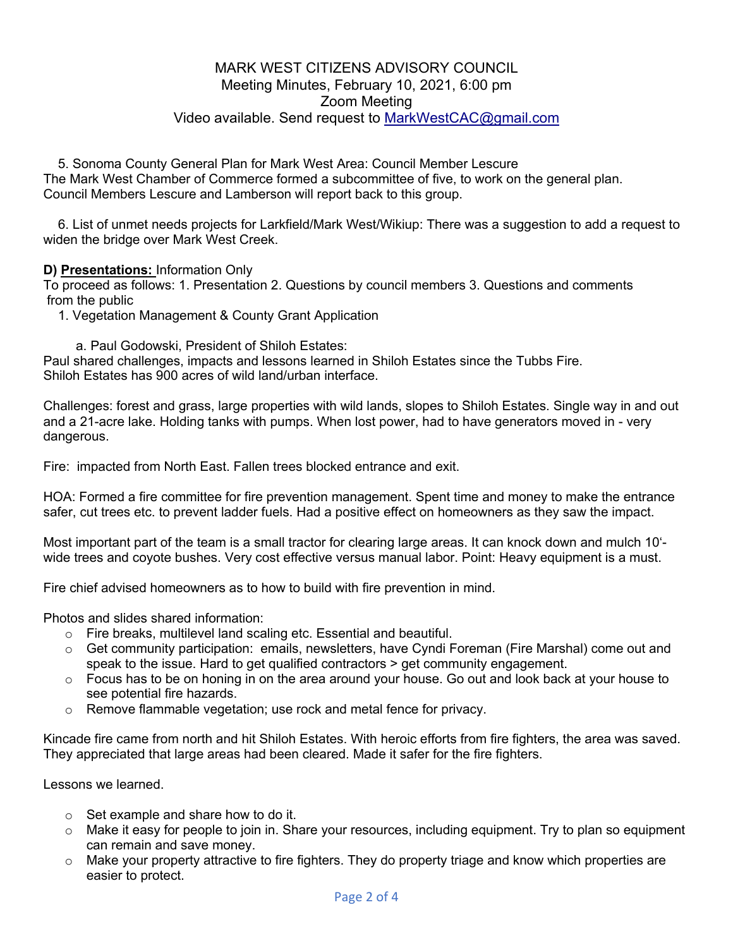5. Sonoma County General Plan for Mark West Area: Council Member Lescure The Mark West Chamber of Commerce formed a subcommittee of five, to work on the general plan. Council Members Lescure and Lamberson will report back to this group.

6. List of unmet needs projects for Larkfield/Mark West/Wikiup: There was a suggestion to add a request to widen the bridge over Mark West Creek.

**D) Presentations:** Information Only

To proceed as follows: 1. Presentation 2. Questions by council members 3. Questions and comments from the public

1. Vegetation Management & County Grant Application

a. Paul Godowski, President of Shiloh Estates:

Paul shared challenges, impacts and lessons learned in Shiloh Estates since the Tubbs Fire. Shiloh Estates has 900 acres of wild land/urban interface.

Challenges: forest and grass, large properties with wild lands, slopes to Shiloh Estates. Single way in and out and a 21-acre lake. Holding tanks with pumps. When lost power, had to have generators moved in - very dangerous.

Fire: impacted from North East. Fallen trees blocked entrance and exit.

HOA: Formed a fire committee for fire prevention management. Spent time and money to make the entrance safer, cut trees etc. to prevent ladder fuels. Had a positive effect on homeowners as they saw the impact.

Most important part of the team is a small tractor for clearing large areas. It can knock down and mulch 10' wide trees and coyote bushes. Very cost effective versus manual labor. Point: Heavy equipment is a must.

Fire chief advised homeowners as to how to build with fire prevention in mind.

Photos and slides shared information:

- o Fire breaks, multilevel land scaling etc. Essential and beautiful.
- o Get community participation: emails, newsletters, have Cyndi Foreman (Fire Marshal) come out and speak to the issue. Hard to get qualified contractors > get community engagement.
- $\circ$  Focus has to be on honing in on the area around your house. Go out and look back at your house to see potential fire hazards.
- $\circ$  Remove flammable vegetation; use rock and metal fence for privacy.

Kincade fire came from north and hit Shiloh Estates. With heroic efforts from fire fighters, the area was saved. They appreciated that large areas had been cleared. Made it safer for the fire fighters.

Lessons we learned.

- o Set example and share how to do it.
- $\circ$  Make it easy for people to join in. Share your resources, including equipment. Try to plan so equipment can remain and save money.
- $\circ$  Make your property attractive to fire fighters. They do property triage and know which properties are easier to protect.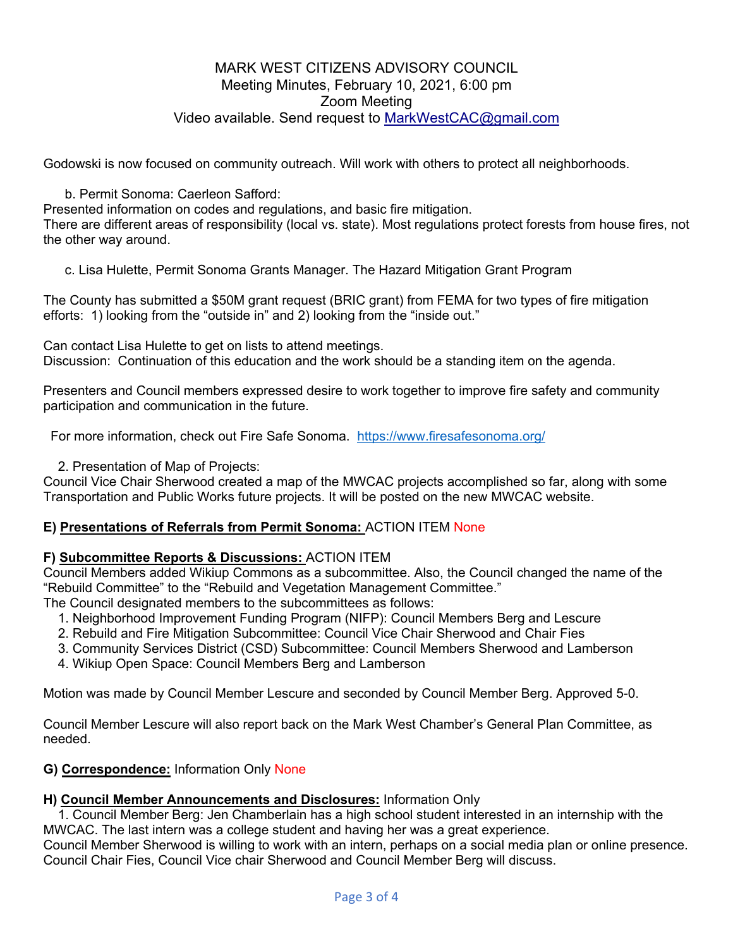Godowski is now focused on community outreach. Will work with others to protect all neighborhoods.

b. Permit Sonoma: Caerleon Safford:

Presented information on codes and regulations, and basic fire mitigation.

There are different areas of responsibility (local vs. state). Most regulations protect forests from house fires, not the other way around.

c. Lisa Hulette, Permit Sonoma Grants Manager. The Hazard Mitigation Grant Program

The County has submitted a \$50M grant request (BRIC grant) from FEMA for two types of fire mitigation efforts: 1) looking from the "outside in" and 2) looking from the "inside out."

Can contact Lisa Hulette to get on lists to attend meetings.

Discussion: Continuation of this education and the work should be a standing item on the agenda.

Presenters and Council members expressed desire to work together to improve fire safety and community participation and communication in the future.

For more information, check out Fire Safe Sonoma. https://www.firesafesonoma.org/

2. Presentation of Map of Projects:

Council Vice Chair Sherwood created a map of the MWCAC projects accomplished so far, along with some Transportation and Public Works future projects. It will be posted on the new MWCAC website.

### **E) Presentations of Referrals from Permit Sonoma:** ACTION ITEM None

### **F) Subcommittee Reports & Discussions:** ACTION ITEM

Council Members added Wikiup Commons as a subcommittee. Also, the Council changed the name of the "Rebuild Committee" to the "Rebuild and Vegetation Management Committee." The Council designated members to the subcommittees as follows:

1. Neighborhood Improvement Funding Program (NIFP): Council Members Berg and Lescure

- 2. Rebuild and Fire Mitigation Subcommittee: Council Vice Chair Sherwood and Chair Fies
- 3. Community Services District (CSD) Subcommittee: Council Members Sherwood and Lamberson
- 4. Wikiup Open Space: Council Members Berg and Lamberson

Motion was made by Council Member Lescure and seconded by Council Member Berg. Approved 5-0.

Council Member Lescure will also report back on the Mark West Chamber's General Plan Committee, as needed.

### **G) Correspondence:** Information Only None

### **H) Council Member Announcements and Disclosures:** Information Only

1. Council Member Berg: Jen Chamberlain has a high school student interested in an internship with the MWCAC. The last intern was a college student and having her was a great experience.

Council Member Sherwood is willing to work with an intern, perhaps on a social media plan or online presence. Council Chair Fies, Council Vice chair Sherwood and Council Member Berg will discuss.